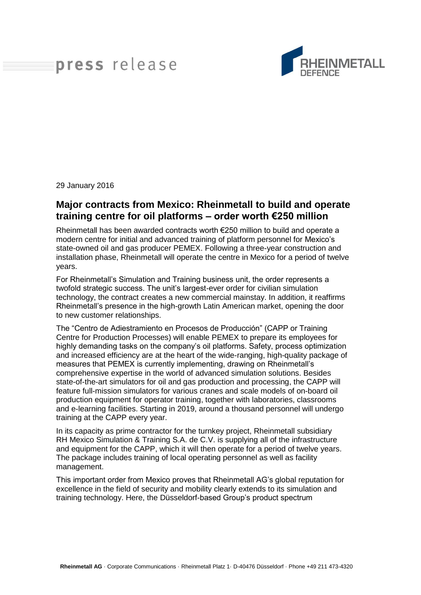## press release



29 January 2016

## **Major contracts from Mexico: Rheinmetall to build and operate training centre for oil platforms – order worth €250 million**

Rheinmetall has been awarded contracts worth €250 million to build and operate a modern centre for initial and advanced training of platform personnel for Mexico's state-owned oil and gas producer PEMEX. Following a three-year construction and installation phase, Rheinmetall will operate the centre in Mexico for a period of twelve years.

For Rheinmetall's Simulation and Training business unit, the order represents a twofold strategic success. The unit's largest-ever order for civilian simulation technology, the contract creates a new commercial mainstay. In addition, it reaffirms Rheinmetall's presence in the high-growth Latin American market, opening the door to new customer relationships.

The "Centro de Adiestramiento en Procesos de Producción" (CAPP or Training Centre for Production Processes) will enable PEMEX to prepare its employees for highly demanding tasks on the company's oil platforms. Safety, process optimization and increased efficiency are at the heart of the wide-ranging, high-quality package of measures that PEMEX is currently implementing, drawing on Rheinmetall's comprehensive expertise in the world of advanced simulation solutions. Besides state-of-the-art simulators for oil and gas production and processing, the CAPP will feature full-mission simulators for various cranes and scale models of on-board oil production equipment for operator training, together with laboratories, classrooms and e-learning facilities. Starting in 2019, around a thousand personnel will undergo training at the CAPP every year.

In its capacity as prime contractor for the turnkey project, Rheinmetall subsidiary RH Mexico Simulation & Training S.A. de C.V. is supplying all of the infrastructure and equipment for the CAPP, which it will then operate for a period of twelve years. The package includes training of local operating personnel as well as facility management.

This important order from Mexico proves that Rheinmetall AG's global reputation for excellence in the field of security and mobility clearly extends to its simulation and training technology. Here, the Düsseldorf-based Group's product spectrum